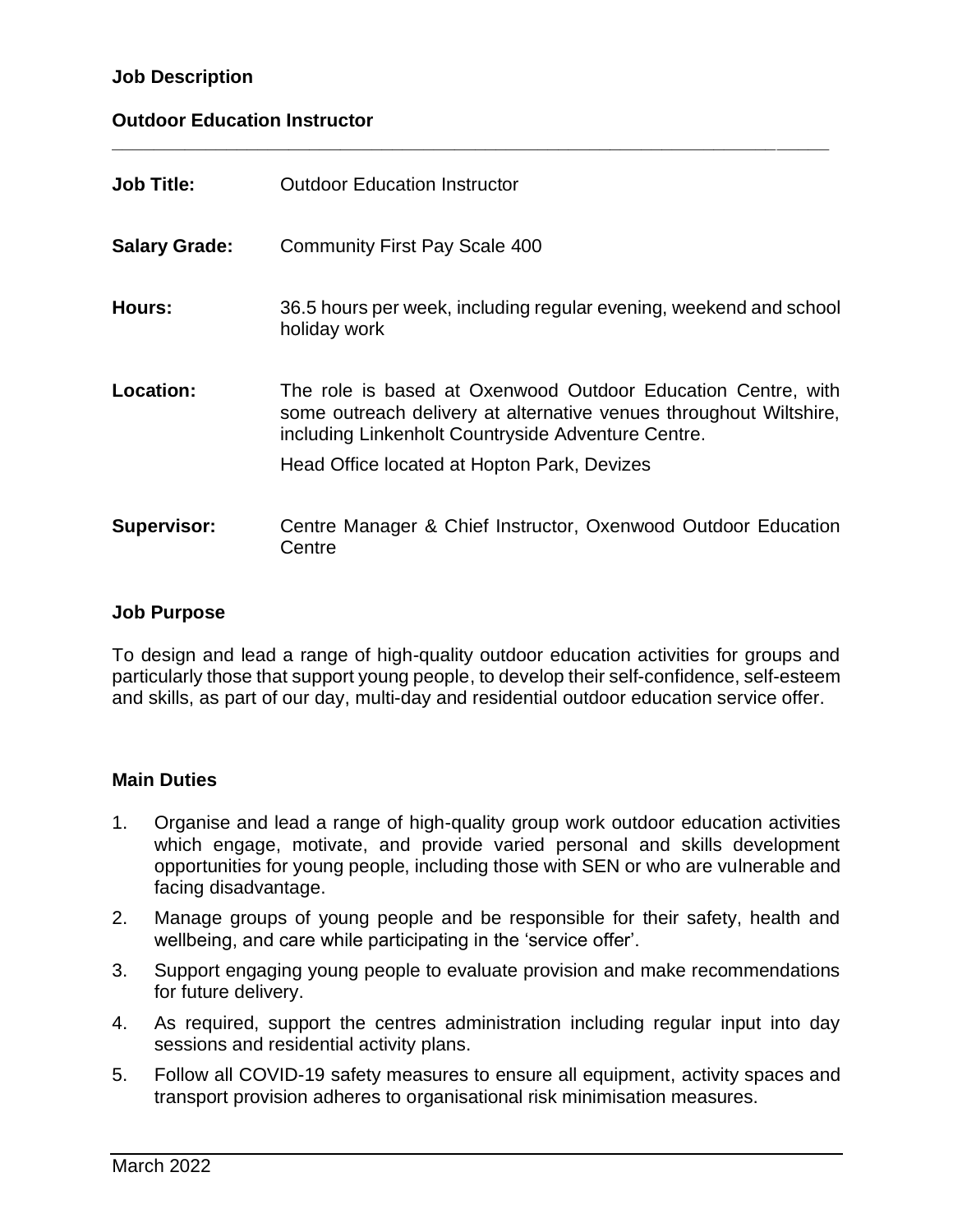## **Job Description**

## **Outdoor Education Instructor**

| <b>Job Title:</b>    | <b>Outdoor Education Instructor</b>                                                                                                                                                      |
|----------------------|------------------------------------------------------------------------------------------------------------------------------------------------------------------------------------------|
| <b>Salary Grade:</b> | <b>Community First Pay Scale 400</b>                                                                                                                                                     |
| Hours:               | 36.5 hours per week, including regular evening, weekend and school<br>holiday work                                                                                                       |
| Location:            | The role is based at Oxenwood Outdoor Education Centre, with<br>some outreach delivery at alternative venues throughout Wiltshire,<br>including Linkenholt Countryside Adventure Centre. |
|                      | Head Office located at Hopton Park, Devizes                                                                                                                                              |
| <b>Supervisor:</b>   | Centre Manager & Chief Instructor, Oxenwood Outdoor Education<br>Centre                                                                                                                  |

**\_\_\_\_\_\_\_\_\_\_\_\_\_\_\_\_\_\_\_\_\_\_\_\_\_\_\_\_\_\_\_\_\_\_\_\_\_\_\_\_\_\_\_\_\_\_\_\_\_\_\_\_\_\_\_\_\_\_\_\_\_\_\_\_\_\_\_\_\_**

#### **Job Purpose**

To design and lead a range of high-quality outdoor education activities for groups and particularly those that support young people, to develop their self-confidence, self-esteem and skills, as part of our day, multi-day and residential outdoor education service offer.

## **Main Duties**

- 1. Organise and lead a range of high-quality group work outdoor education activities which engage, motivate, and provide varied personal and skills development opportunities for young people, including those with SEN or who are vulnerable and facing disadvantage.
- 2. Manage groups of young people and be responsible for their safety, health and wellbeing, and care while participating in the 'service offer'.
- 3. Support engaging young people to evaluate provision and make recommendations for future delivery.
- 4. As required, support the centres administration including regular input into day sessions and residential activity plans.
- 5. Follow all COVID-19 safety measures to ensure all equipment, activity spaces and transport provision adheres to organisational risk minimisation measures.